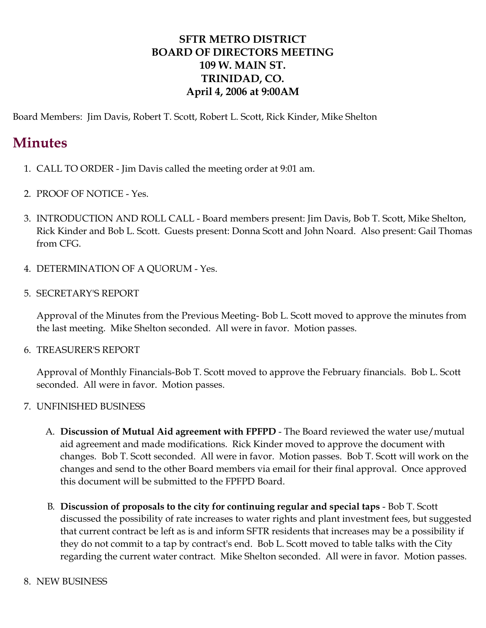## **SFTR METRO DISTRICT BOARD OF DIRECTORS MEETING 109 W. MAIN ST. TRINIDAD, CO. April 4, 2006 at 9:00AM**

Board Members: Jim Davis, Robert T. Scott, Robert L. Scott, Rick Kinder, Mike Shelton

## **Minutes**

- 1. CALL TO ORDER Jim Davis called the meeting order at 9:01 am.
- 2. PROOF OF NOTICE Yes.
- 3. INTRODUCTION AND ROLL CALL Board members present: Jim Davis, Bob T. Scott, Mike Shelton, Rick Kinder and Bob L. Scott. Guests present: Donna Scott and John Noard. Also present: Gail Thomas from CFG.
- 4. DETERMINATION OF A QUORUM Yes.
- 5. SECRETARY'S REPORT

Approval of the Minutes from the Previous Meeting- Bob L. Scott moved to approve the minutes from the last meeting. Mike Shelton seconded. All were in favor. Motion passes.

6. TREASURER'S REPORT

Approval of Monthly Financials-Bob T. Scott moved to approve the February financials. Bob L. Scott seconded. All were in favor. Motion passes.

- 7. UNFINISHED BUSINESS
	- A. **Discussion of Mutual Aid agreement with FPFPD** The Board reviewed the water use/mutual aid agreement and made modifications. Rick Kinder moved to approve the document with changes. Bob T. Scott seconded. All were in favor. Motion passes. Bob T. Scott will work on the changes and send to the other Board members via email for their final approval. Once approved this document will be submitted to the FPFPD Board.
	- B. **Discussion of proposals to the city for continuing regular and special taps** Bob T. Scott discussed the possibility of rate increases to water rights and plant investment fees, but suggested that current contract be left as is and inform SFTR residents that increases may be a possibility if they do not commit to a tap by contract's end. Bob L. Scott moved to table talks with the City regarding the current water contract. Mike Shelton seconded. All were in favor. Motion passes.
- 8. NEW BUSINESS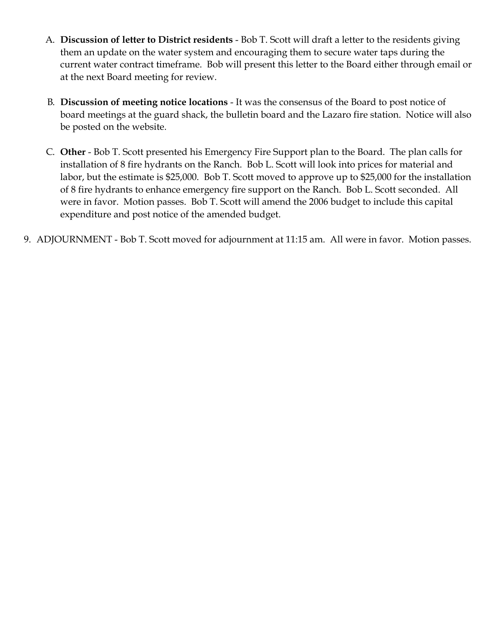- A. **Discussion of letter to District residents** Bob T. Scott will draft a letter to the residents giving them an update on the water system and encouraging them to secure water taps during the current water contract timeframe. Bob will present this letter to the Board either through email or at the next Board meeting for review.
- B. **Discussion of meeting notice locations** It was the consensus of the Board to post notice of board meetings at the guard shack, the bulletin board and the Lazaro fire station. Notice will also be posted on the website.
- C. **Other** Bob T. Scott presented his Emergency Fire Support plan to the Board. The plan calls for installation of 8 fire hydrants on the Ranch. Bob L. Scott will look into prices for material and labor, but the estimate is \$25,000. Bob T. Scott moved to approve up to \$25,000 for the installation of 8 fire hydrants to enhance emergency fire support on the Ranch. Bob L. Scott seconded. All were in favor. Motion passes. Bob T. Scott will amend the 2006 budget to include this capital expenditure and post notice of the amended budget.
- 9. ADJOURNMENT Bob T. Scott moved for adjournment at 11:15 am. All were in favor. Motion passes.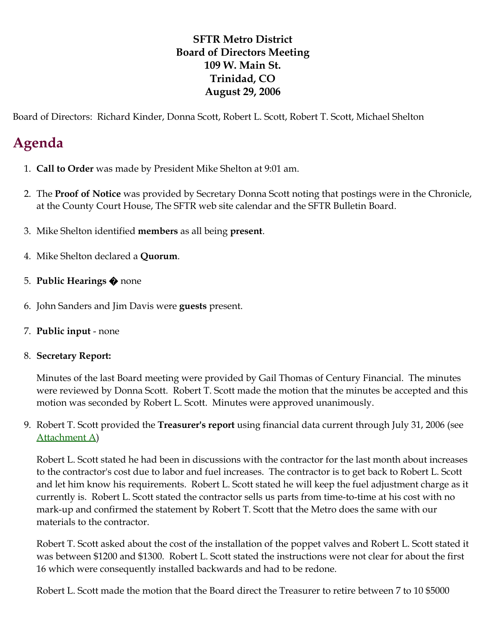## **SFTR Metro District Board of Directors Meeting 109 W. Main St. Trinidad, CO August 29, 2006**

Board of Directors: Richard Kinder, Donna Scott, Robert L. Scott, Robert T. Scott, Michael Shelton

# **Agenda**

- 1. **Call to Order** was made by President Mike Shelton at 9:01 am.
- 2. The **Proof of Notice** was provided by Secretary Donna Scott noting that postings were in the Chronicle, at the County Court House, The SFTR web site calendar and the SFTR Bulletin Board.
- 3. Mike Shelton identified **members** as all being **present**.
- 4. Mike Shelton declared a **Quorum**.
- 5. **Public Hearings** � none
- 6. John Sanders and Jim Davis were **guests** present.
- 7. **Public input** none

#### 8. **Secretary Report:**

Minutes of the last Board meeting were provided by Gail Thomas of Century Financial. The minutes were reviewed by Donna Scott. Robert T. Scott made the motion that the minutes be accepted and this motion was seconded by Robert L. Scott. Minutes were approved unanimously.

9. Robert T. Scott provided the **Treasurer's report** using financial data current through July 31, 2006 (see [Attachment A](http://santafetrailranch.com/minutes/view.aspx?page=metro_06-08-29.htm#AttachmentA))

Robert L. Scott stated he had been in discussions with the contractor for the last month about increases to the contractor's cost due to labor and fuel increases. The contractor is to get back to Robert L. Scott and let him know his requirements. Robert L. Scott stated he will keep the fuel adjustment charge as it currently is. Robert L. Scott stated the contractor sells us parts from time-to-time at his cost with no mark-up and confirmed the statement by Robert T. Scott that the Metro does the same with our materials to the contractor.

Robert T. Scott asked about the cost of the installation of the poppet valves and Robert L. Scott stated it was between \$1200 and \$1300. Robert L. Scott stated the instructions were not clear for about the first 16 which were consequently installed backwards and had to be redone.

Robert L. Scott made the motion that the Board direct the Treasurer to retire between 7 to 10 \$5000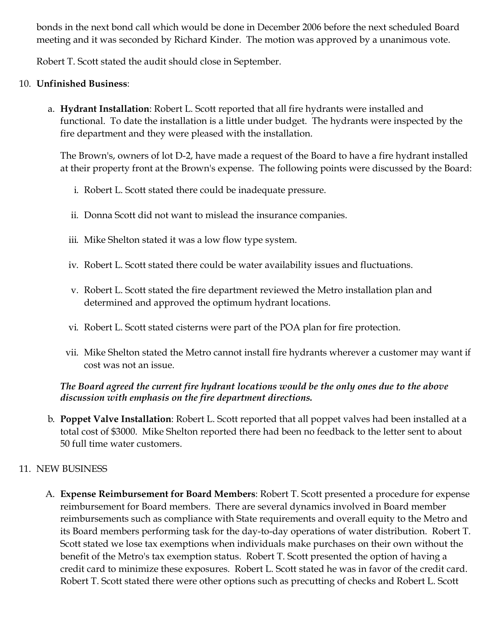bonds in the next bond call which would be done in December 2006 before the next scheduled Board meeting and it was seconded by Richard Kinder. The motion was approved by a unanimous vote.

Robert T. Scott stated the audit should close in September.

#### 10. **Unfinished Business**:

a. **Hydrant Installation**: Robert L. Scott reported that all fire hydrants were installed and functional. To date the installation is a little under budget. The hydrants were inspected by the fire department and they were pleased with the installation.

The Brown's, owners of lot D-2, have made a request of the Board to have a fire hydrant installed at their property front at the Brown's expense. The following points were discussed by the Board:

- i. Robert L. Scott stated there could be inadequate pressure.
- ii. Donna Scott did not want to mislead the insurance companies.
- iii. Mike Shelton stated it was a low flow type system.
- iv. Robert L. Scott stated there could be water availability issues and fluctuations.
- v. Robert L. Scott stated the fire department reviewed the Metro installation plan and determined and approved the optimum hydrant locations.
- vi. Robert L. Scott stated cisterns were part of the POA plan for fire protection.
- vii. Mike Shelton stated the Metro cannot install fire hydrants wherever a customer may want if cost was not an issue.

### *The Board agreed the current fire hydrant locations would be the only ones due to the above discussion with emphasis on the fire department directions.*

b. **Poppet Valve Installation**: Robert L. Scott reported that all poppet valves had been installed at a total cost of \$3000. Mike Shelton reported there had been no feedback to the letter sent to about 50 full time water customers.

## 11. NEW BUSINESS

A. **Expense Reimbursement for Board Members**: Robert T. Scott presented a procedure for expense reimbursement for Board members. There are several dynamics involved in Board member reimbursements such as compliance with State requirements and overall equity to the Metro and its Board members performing task for the day-to-day operations of water distribution. Robert T. Scott stated we lose tax exemptions when individuals make purchases on their own without the benefit of the Metro's tax exemption status. Robert T. Scott presented the option of having a credit card to minimize these exposures. Robert L. Scott stated he was in favor of the credit card. Robert T. Scott stated there were other options such as precutting of checks and Robert L. Scott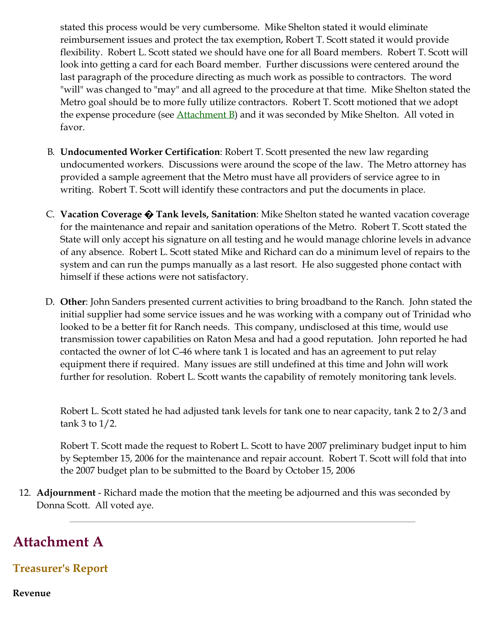stated this process would be very cumbersome. Mike Shelton stated it would eliminate reimbursement issues and protect the tax exemption, Robert T. Scott stated it would provide flexibility. Robert L. Scott stated we should have one for all Board members. Robert T. Scott will look into getting a card for each Board member. Further discussions were centered around the last paragraph of the procedure directing as much work as possible to contractors. The word "will" was changed to "may" and all agreed to the procedure at that time. Mike Shelton stated the Metro goal should be to more fully utilize contractors. Robert T. Scott motioned that we adopt the expense procedure (see  $\Delta$ ttachment  $\overline{B}$ ) and it was seconded by Mike Shelton. All voted in favor.

- B. **Undocumented Worker Certification**: Robert T. Scott presented the new law regarding undocumented workers. Discussions were around the scope of the law. The Metro attorney has provided a sample agreement that the Metro must have all providers of service agree to in writing. Robert T. Scott will identify these contractors and put the documents in place.
- C. **Vacation Coverage � Tank levels, Sanitation**: Mike Shelton stated he wanted vacation coverage for the maintenance and repair and sanitation operations of the Metro. Robert T. Scott stated the State will only accept his signature on all testing and he would manage chlorine levels in advance of any absence. Robert L. Scott stated Mike and Richard can do a minimum level of repairs to the system and can run the pumps manually as a last resort. He also suggested phone contact with himself if these actions were not satisfactory.
- D. **Other**: John Sanders presented current activities to bring broadband to the Ranch. John stated the initial supplier had some service issues and he was working with a company out of Trinidad who looked to be a better fit for Ranch needs. This company, undisclosed at this time, would use transmission tower capabilities on Raton Mesa and had a good reputation. John reported he had contacted the owner of lot C-46 where tank 1 is located and has an agreement to put relay equipment there if required. Many issues are still undefined at this time and John will work further for resolution. Robert L. Scott wants the capability of remotely monitoring tank levels.

Robert L. Scott stated he had adjusted tank levels for tank one to near capacity, tank 2 to 2/3 and tank 3 to 1/2.

Robert T. Scott made the request to Robert L. Scott to have 2007 preliminary budget input to him by September 15, 2006 for the maintenance and repair account. Robert T. Scott will fold that into the 2007 budget plan to be submitted to the Board by October 15, 2006

12. **Adjournment** - Richard made the motion that the meeting be adjourned and this was seconded by Donna Scott. All voted aye.

## **Attachment A**

## **Treasurer's Report**

**Revenue**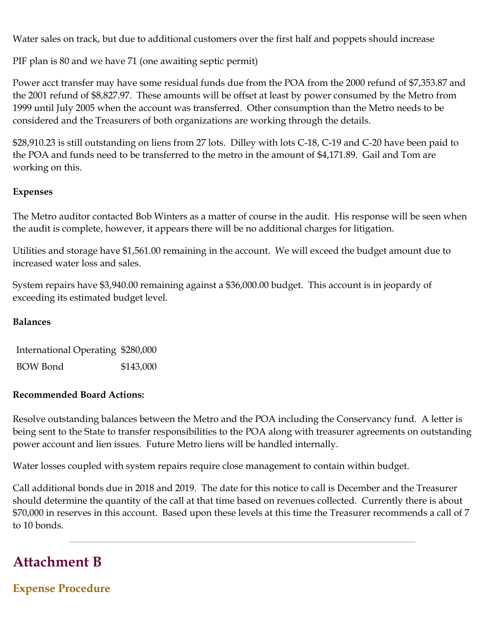Water sales on track, but due to additional customers over the first half and poppets should increase

PIF plan is 80 and we have 71 (one awaiting septic permit)

Power acct transfer may have some residual funds due from the POA from the 2000 refund of \$7,353.87 and the 2001 refund of \$8,827.97. These amounts will be offset at least by power consumed by the Metro from 1999 until July 2005 when the account was transferred. Other consumption than the Metro needs to be considered and the Treasurers of both organizations are working through the details.

\$28,910.23 is still outstanding on liens from 27 lots. Dilley with lots C-18, C-19 and C-20 have been paid to the POA and funds need to be transferred to the metro in the amount of \$4,171.89. Gail and Tom are working on this.

#### **Expenses**

The Metro auditor contacted Bob Winters as a matter of course in the audit. His response will be seen when the audit is complete, however, it appears there will be no additional charges for litigation.

Utilities and storage have \$1,561.00 remaining in the account. We will exceed the budget amount due to increased water loss and sales.

System repairs have \$3,940.00 remaining against a \$36,000.00 budget. This account is in jeopardy of exceeding its estimated budget level.

#### **Balances**

International Operating \$280,000 BOW Bond \$143,000

#### **Recommended Board Actions:**

Resolve outstanding balances between the Metro and the POA including the Conservancy fund. A letter is being sent to the State to transfer responsibilities to the POA along with treasurer agreements on outstanding power account and lien issues. Future Metro liens will be handled internally.

Water losses coupled with system repairs require close management to contain within budget.

Call additional bonds due in 2018 and 2019. The date for this notice to call is December and the Treasurer should determine the quantity of the call at that time based on revenues collected. Currently there is about \$70,000 in reserves in this account. Based upon these levels at this time the Treasurer recommends a call of 7 to 10 bonds.

# **Attachment B**

**Expense Procedure**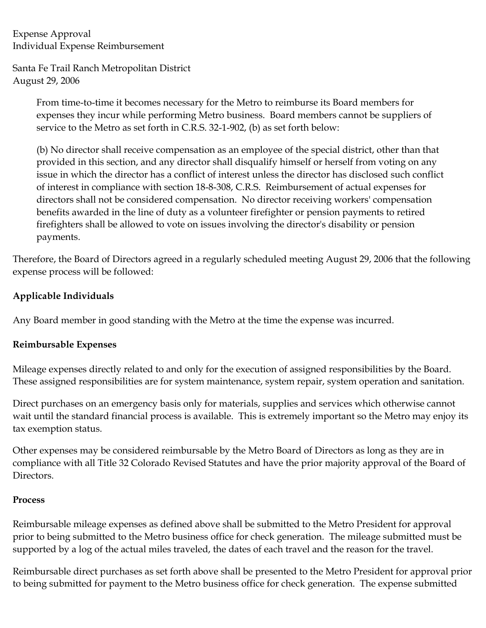Expense Approval Individual Expense Reimbursement

Santa Fe Trail Ranch Metropolitan District August 29, 2006

> From time-to-time it becomes necessary for the Metro to reimburse its Board members for expenses they incur while performing Metro business. Board members cannot be suppliers of service to the Metro as set forth in C.R.S. 32-1-902, (b) as set forth below:

(b) No director shall receive compensation as an employee of the special district, other than that provided in this section, and any director shall disqualify himself or herself from voting on any issue in which the director has a conflict of interest unless the director has disclosed such conflict of interest in compliance with section 18-8-308, C.R.S. Reimbursement of actual expenses for directors shall not be considered compensation. No director receiving workers' compensation benefits awarded in the line of duty as a volunteer firefighter or pension payments to retired firefighters shall be allowed to vote on issues involving the director's disability or pension payments.

Therefore, the Board of Directors agreed in a regularly scheduled meeting August 29, 2006 that the following expense process will be followed:

#### **Applicable Individuals**

Any Board member in good standing with the Metro at the time the expense was incurred.

#### **Reimbursable Expenses**

Mileage expenses directly related to and only for the execution of assigned responsibilities by the Board. These assigned responsibilities are for system maintenance, system repair, system operation and sanitation.

Direct purchases on an emergency basis only for materials, supplies and services which otherwise cannot wait until the standard financial process is available. This is extremely important so the Metro may enjoy its tax exemption status.

Other expenses may be considered reimbursable by the Metro Board of Directors as long as they are in compliance with all Title 32 Colorado Revised Statutes and have the prior majority approval of the Board of Directors.

#### **Process**

Reimbursable mileage expenses as defined above shall be submitted to the Metro President for approval prior to being submitted to the Metro business office for check generation. The mileage submitted must be supported by a log of the actual miles traveled, the dates of each travel and the reason for the travel.

Reimbursable direct purchases as set forth above shall be presented to the Metro President for approval prior to being submitted for payment to the Metro business office for check generation. The expense submitted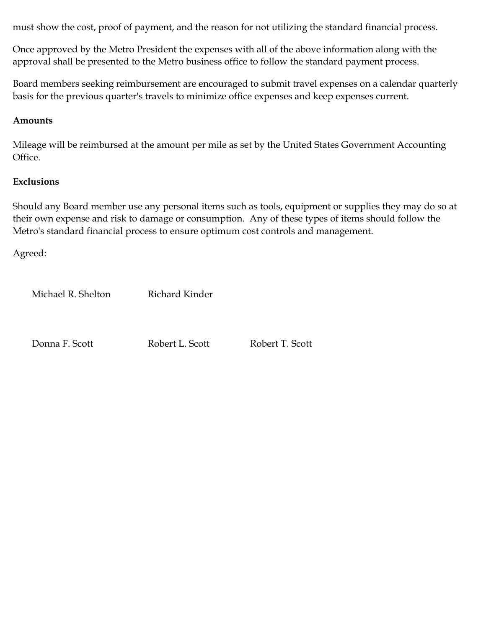must show the cost, proof of payment, and the reason for not utilizing the standard financial process.

Once approved by the Metro President the expenses with all of the above information along with the approval shall be presented to the Metro business office to follow the standard payment process.

Board members seeking reimbursement are encouraged to submit travel expenses on a calendar quarterly basis for the previous quarter's travels to minimize office expenses and keep expenses current.

#### **Amounts**

Mileage will be reimbursed at the amount per mile as set by the United States Government Accounting Office.

#### **Exclusions**

Should any Board member use any personal items such as tools, equipment or supplies they may do so at their own expense and risk to damage or consumption. Any of these types of items should follow the Metro's standard financial process to ensure optimum cost controls and management.

Agreed:

Michael R. Shelton Richard Kinder

Donna F. Scott Robert L. Scott Robert T. Scott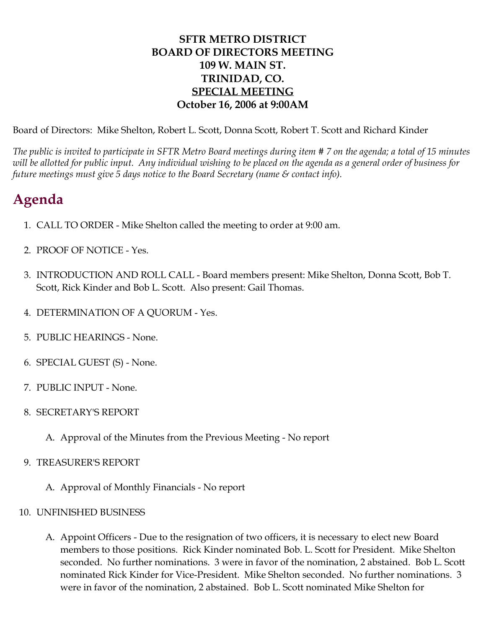## **SFTR METRO DISTRICT BOARD OF DIRECTORS MEETING 109 W. MAIN ST. TRINIDAD, CO. SPECIAL MEETING October 16, 2006 at 9:00AM**

Board of Directors: Mike Shelton, Robert L. Scott, Donna Scott, Robert T. Scott and Richard Kinder

*The public is invited to participate in SFTR Metro Board meetings during item # 7 on the agenda; a total of 15 minutes will be allotted for public input. Any individual wishing to be placed on the agenda as a general order of business for future meetings must give 5 days notice to the Board Secretary (name & contact info).*

# **Agenda**

- 1. CALL TO ORDER Mike Shelton called the meeting to order at 9:00 am.
- 2. PROOF OF NOTICE Yes.
- 3. INTRODUCTION AND ROLL CALL Board members present: Mike Shelton, Donna Scott, Bob T. Scott, Rick Kinder and Bob L. Scott. Also present: Gail Thomas.
- 4. DETERMINATION OF A QUORUM Yes.
- 5. PUBLIC HEARINGS None.
- 6. SPECIAL GUEST (S) None.
- 7. PUBLIC INPUT None.
- 8. SECRETARY'S REPORT
	- A. Approval of the Minutes from the Previous Meeting No report
- 9. TREASURER'S REPORT
	- A. Approval of Monthly Financials No report
- 10. UNFINISHED BUSINESS
	- A. Appoint Officers Due to the resignation of two officers, it is necessary to elect new Board members to those positions. Rick Kinder nominated Bob. L. Scott for President. Mike Shelton seconded. No further nominations. 3 were in favor of the nomination, 2 abstained. Bob L. Scott nominated Rick Kinder for Vice-President. Mike Shelton seconded. No further nominations. 3 were in favor of the nomination, 2 abstained. Bob L. Scott nominated Mike Shelton for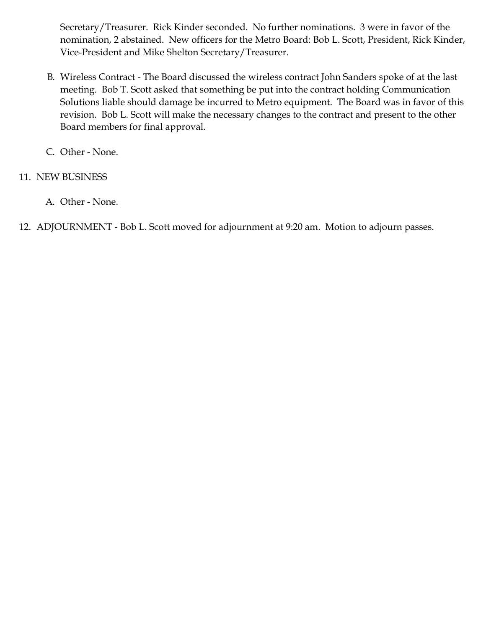Secretary/Treasurer. Rick Kinder seconded. No further nominations. 3 were in favor of the nomination, 2 abstained. New officers for the Metro Board: Bob L. Scott, President, Rick Kinder, Vice-President and Mike Shelton Secretary/Treasurer.

- B. Wireless Contract The Board discussed the wireless contract John Sanders spoke of at the last meeting. Bob T. Scott asked that something be put into the contract holding Communication Solutions liable should damage be incurred to Metro equipment. The Board was in favor of this revision. Bob L. Scott will make the necessary changes to the contract and present to the other Board members for final approval.
- C. Other None.

### 11. NEW BUSINESS

- A. Other None.
- 12. ADJOURNMENT Bob L. Scott moved for adjournment at 9:20 am. Motion to adjourn passes.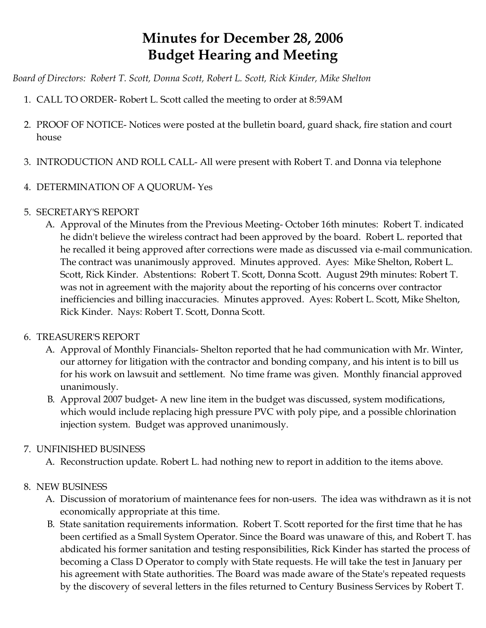# **Minutes for December 28, 2006 Budget Hearing and Meeting**

*Board of Directors: Robert T. Scott, Donna Scott, Robert L. Scott, Rick Kinder, Mike Shelton*

- 1. CALL TO ORDER- Robert L. Scott called the meeting to order at 8:59AM
- 2. PROOF OF NOTICE- Notices were posted at the bulletin board, guard shack, fire station and court house
- 3. INTRODUCTION AND ROLL CALL- All were present with Robert T. and Donna via telephone
- 4. DETERMINATION OF A QUORUM- Yes
- 5. SECRETARY'S REPORT
	- A. Approval of the Minutes from the Previous Meeting- October 16th minutes: Robert T. indicated he didn't believe the wireless contract had been approved by the board. Robert L. reported that he recalled it being approved after corrections were made as discussed via e-mail communication. The contract was unanimously approved. Minutes approved. Ayes: Mike Shelton, Robert L. Scott, Rick Kinder. Abstentions: Robert T. Scott, Donna Scott. August 29th minutes: Robert T. was not in agreement with the majority about the reporting of his concerns over contractor inefficiencies and billing inaccuracies. Minutes approved. Ayes: Robert L. Scott, Mike Shelton, Rick Kinder. Nays: Robert T. Scott, Donna Scott.

### 6. TREASURER'S REPORT

- A. Approval of Monthly Financials- Shelton reported that he had communication with Mr. Winter, our attorney for litigation with the contractor and bonding company, and his intent is to bill us for his work on lawsuit and settlement. No time frame was given. Monthly financial approved unanimously.
- B. Approval 2007 budget- A new line item in the budget was discussed, system modifications, which would include replacing high pressure PVC with poly pipe, and a possible chlorination injection system. Budget was approved unanimously.

## 7. UNFINISHED BUSINESS

A. Reconstruction update. Robert L. had nothing new to report in addition to the items above.

## 8. NEW BUSINESS

- A. Discussion of moratorium of maintenance fees for non-users. The idea was withdrawn as it is not economically appropriate at this time.
- B. State sanitation requirements information. Robert T. Scott reported for the first time that he has been certified as a Small System Operator. Since the Board was unaware of this, and Robert T. has abdicated his former sanitation and testing responsibilities, Rick Kinder has started the process of becoming a Class D Operator to comply with State requests. He will take the test in January per his agreement with State authorities. The Board was made aware of the State's repeated requests by the discovery of several letters in the files returned to Century Business Services by Robert T.